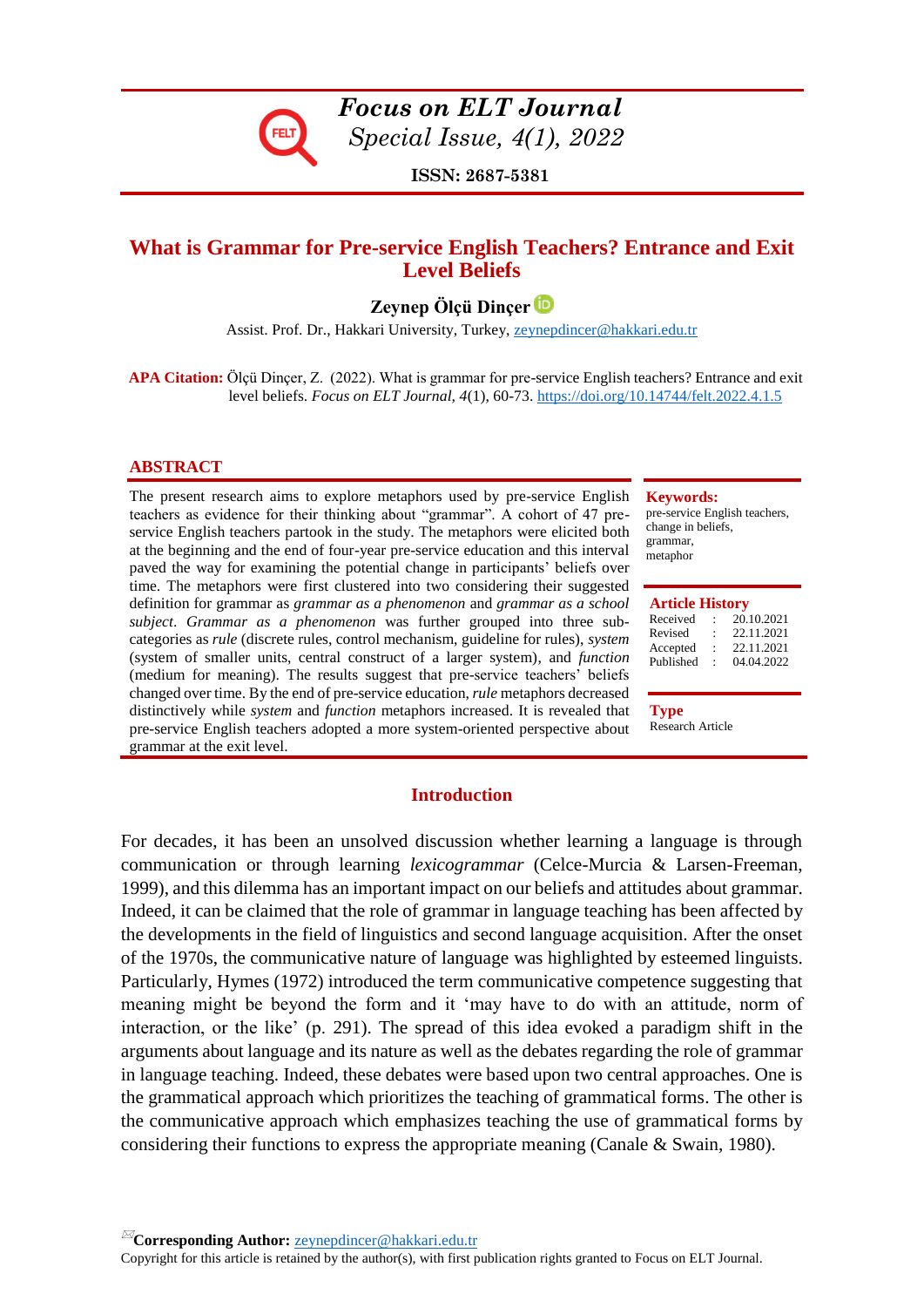

*Focus on ELT Journal Special Issue, 4(1), 2022*

**ISSN: 2687-5381**

# **What is Grammar for Pre-service English Teachers? Entrance and Exit Level Beliefs**

**Zeynep Ölçü Dinçer**

Assist. Prof. Dr., Hakkari University, Turkey, zeynepdincer@hakkari.edu.tr

 **APA Citation:** Ölçü Dinçer, Z. (2022). What is grammar for pre-service English teachers? Entrance and exit level beliefs. *Focus on ELT Journal, 4*(1), 60-73.<https://doi.org/10.14744/felt.2022.4.1.5>

### **ABSTRACT**

The present research aims to explore metaphors used by pre-service English teachers as evidence for their thinking about "grammar". A cohort of 47 preservice English teachers partook in the study. The metaphors were elicited both at the beginning and the end of four-year pre-service education and this interval paved the way for examining the potential change in participants' beliefs over time. The metaphors were first clustered into two considering their suggested definition for grammar as *grammar as a phenomenon* and *grammar as a school subject*. *Grammar as a phenomenon* was further grouped into three subcategories as *rule* (discrete rules, control mechanism, guideline for rules), *system* (system of smaller units, central construct of a larger system), and *function* (medium for meaning). The results suggest that pre-service teachers' beliefs changed over time. By the end of pre-service education, *rule* metaphors decreased distinctively while *system* and *function* metaphors increased. It is revealed that pre-service English teachers adopted a more system-oriented perspective about grammar at the exit level.

#### **Keywords:**

pre-service English teachers, change in beliefs, grammar, metaphor

#### **Article History**

| Received  | ٠       | 20.10.2021 |
|-----------|---------|------------|
| Revised   | ۰       | 22.11.2021 |
| Accepted  | $\cdot$ | 22.11.2021 |
| Published |         | 04.04.2022 |

**Type** Research Article

#### **Introduction**

For decades, it has been an unsolved discussion whether learning a language is through communication or through learning *lexicogrammar* (Celce-Murcia & Larsen-Freeman, 1999), and this dilemma has an important impact on our beliefs and attitudes about grammar. Indeed, it can be claimed that the role of grammar in language teaching has been affected by the developments in the field of linguistics and second language acquisition. After the onset of the 1970s, the communicative nature of language was highlighted by esteemed linguists. Particularly, Hymes (1972) introduced the term communicative competence suggesting that meaning might be beyond the form and it 'may have to do with an attitude, norm of interaction, or the like' (p. 291). The spread of this idea evoked a paradigm shift in the arguments about language and its nature as well as the debates regarding the role of grammar in language teaching. Indeed, these debates were based upon two central approaches. One is the grammatical approach which prioritizes the teaching of grammatical forms. The other is the communicative approach which emphasizes teaching the use of grammatical forms by considering their functions to express the appropriate meaning (Canale & Swain, 1980).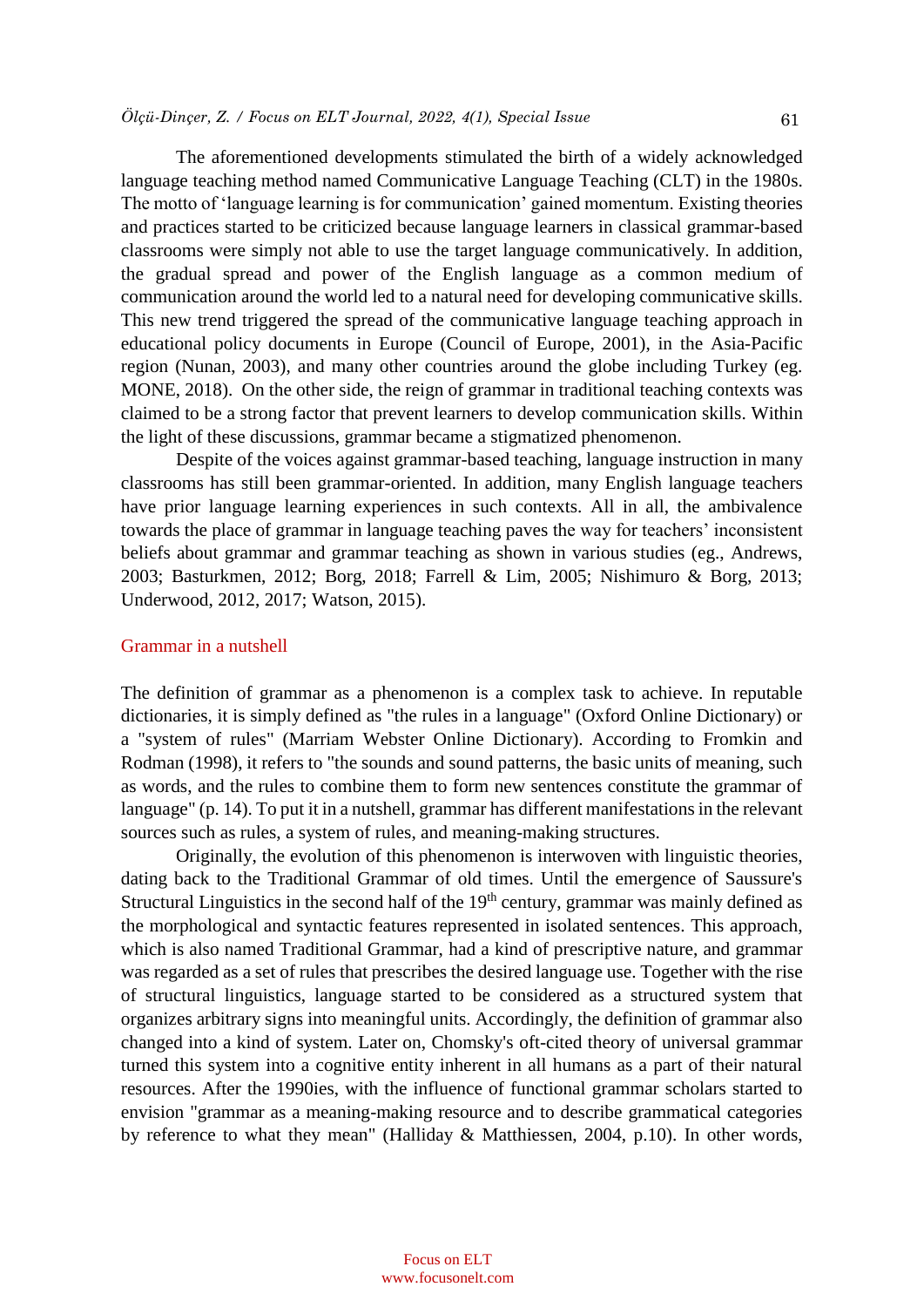The aforementioned developments stimulated the birth of a widely acknowledged language teaching method named Communicative Language Teaching (CLT) in the 1980s. The motto of 'language learning is for communication' gained momentum. Existing theories and practices started to be criticized because language learners in classical grammar-based classrooms were simply not able to use the target language communicatively. In addition, the gradual spread and power of the English language as a common medium of communication around the world led to a natural need for developing communicative skills. This new trend triggered the spread of the communicative language teaching approach in educational policy documents in Europe (Council of Europe, 2001), in the Asia-Pacific region (Nunan, 2003), and many other countries around the globe including Turkey (eg. MONE, 2018). On the other side, the reign of grammar in traditional teaching contexts was claimed to be a strong factor that prevent learners to develop communication skills. Within the light of these discussions, grammar became a stigmatized phenomenon.

Despite of the voices against grammar-based teaching, language instruction in many classrooms has still been grammar-oriented. In addition, many English language teachers have prior language learning experiences in such contexts. All in all, the ambivalence towards the place of grammar in language teaching paves the way for teachers' inconsistent beliefs about grammar and grammar teaching as shown in various studies (eg., Andrews, 2003; Basturkmen, 2012; Borg, 2018; Farrell & Lim, 2005; Nishimuro & Borg, 2013; Underwood, 2012, 2017; Watson, 2015).

### Grammar in a nutshell

The definition of grammar as a phenomenon is a complex task to achieve. In reputable dictionaries, it is simply defined as "the rules in a language" (Oxford Online Dictionary) or a "system of rules" (Marriam Webster Online Dictionary). According to Fromkin and Rodman (1998), it refers to "the sounds and sound patterns, the basic units of meaning, such as words, and the rules to combine them to form new sentences constitute the grammar of language" (p. 14). To put it in a nutshell, grammar has different manifestations in the relevant sources such as rules, a system of rules, and meaning-making structures.

Originally, the evolution of this phenomenon is interwoven with linguistic theories, dating back to the Traditional Grammar of old times. Until the emergence of Saussure's Structural Linguistics in the second half of the  $19<sup>th</sup>$  century, grammar was mainly defined as the morphological and syntactic features represented in isolated sentences. This approach, which is also named Traditional Grammar, had a kind of prescriptive nature, and grammar was regarded as a set of rules that prescribes the desired language use. Together with the rise of structural linguistics, language started to be considered as a structured system that organizes arbitrary signs into meaningful units. Accordingly, the definition of grammar also changed into a kind of system. Later on, Chomsky's oft-cited theory of universal grammar turned this system into a cognitive entity inherent in all humans as a part of their natural resources. After the 1990ies, with the influence of functional grammar scholars started to envision "grammar as a meaning-making resource and to describe grammatical categories by reference to what they mean" (Halliday & Matthiessen, 2004, p.10). In other words,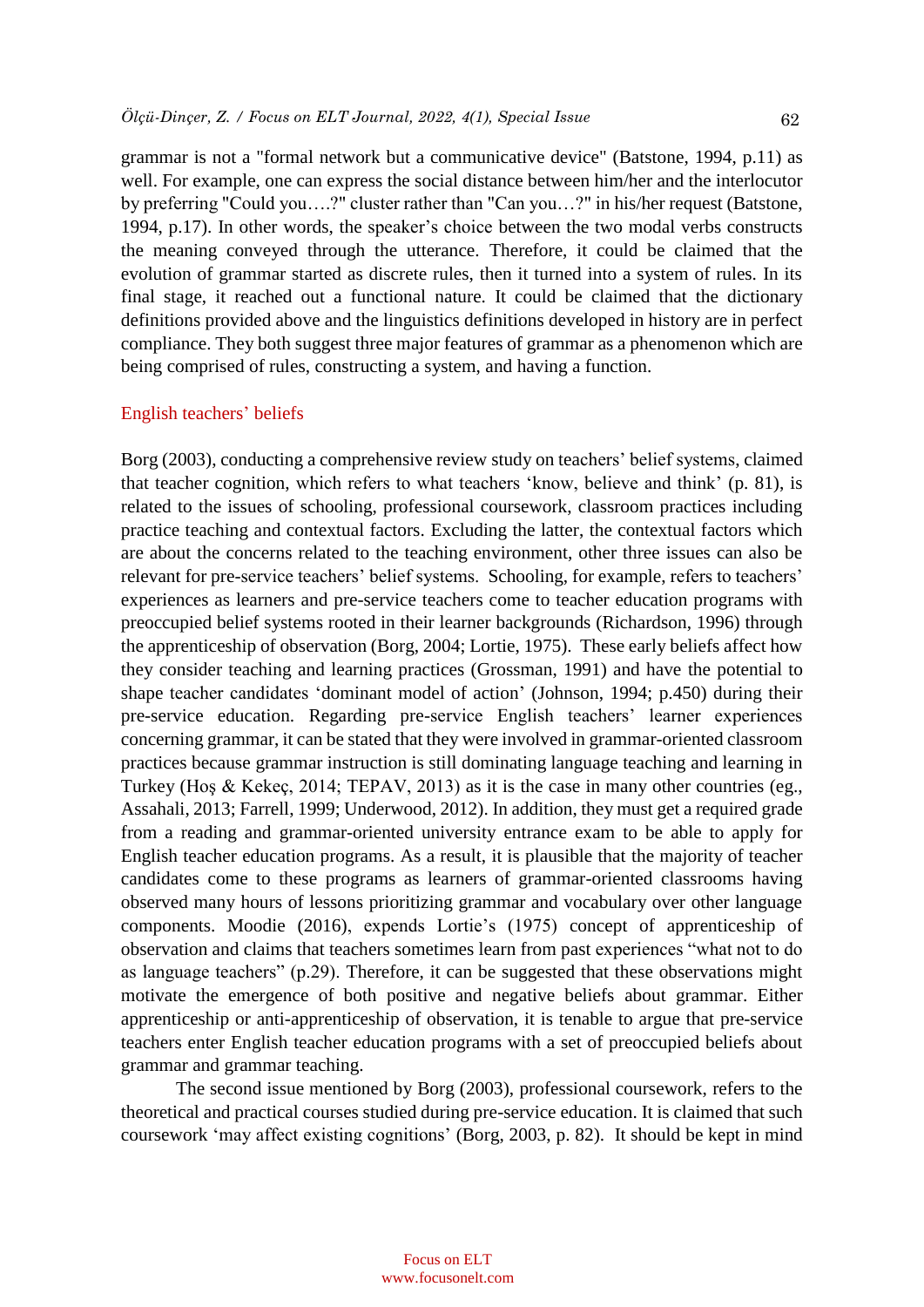grammar is not a "formal network but a communicative device" (Batstone, 1994, p.11) as well. For example, one can express the social distance between him/her and the interlocutor by preferring "Could you….?" cluster rather than "Can you…?" in his/her request (Batstone, 1994, p.17). In other words, the speaker's choice between the two modal verbs constructs the meaning conveyed through the utterance. Therefore, it could be claimed that the evolution of grammar started as discrete rules, then it turned into a system of rules. In its final stage, it reached out a functional nature. It could be claimed that the dictionary definitions provided above and the linguistics definitions developed in history are in perfect compliance. They both suggest three major features of grammar as a phenomenon which are being comprised of rules, constructing a system, and having a function.

### English teachers' beliefs

Borg (2003), conducting a comprehensive review study on teachers' belief systems, claimed that teacher cognition, which refers to what teachers 'know, believe and think' (p. 81), is related to the issues of schooling, professional coursework, classroom practices including practice teaching and contextual factors. Excluding the latter, the contextual factors which are about the concerns related to the teaching environment, other three issues can also be relevant for pre-service teachers' belief systems. Schooling, for example, refers to teachers' experiences as learners and pre-service teachers come to teacher education programs with preoccupied belief systems rooted in their learner backgrounds (Richardson, 1996) through the apprenticeship of observation (Borg, 2004; Lortie, 1975). These early beliefs affect how they consider teaching and learning practices (Grossman, 1991) and have the potential to shape teacher candidates 'dominant model of action' (Johnson, 1994; p.450) during their pre-service education. Regarding pre-service English teachers' learner experiences concerning grammar, it can be stated that they were involved in grammar-oriented classroom practices because grammar instruction is still dominating language teaching and learning in Turkey (Hoş & Kekeç, 2014; TEPAV, 2013) as it is the case in many other countries (eg., Assahali, 2013; Farrell, 1999; Underwood, 2012). In addition, they must get a required grade from a reading and grammar-oriented university entrance exam to be able to apply for English teacher education programs. As a result, it is plausible that the majority of teacher candidates come to these programs as learners of grammar-oriented classrooms having observed many hours of lessons prioritizing grammar and vocabulary over other language components. Moodie (2016), expends Lortie's (1975) concept of apprenticeship of observation and claims that teachers sometimes learn from past experiences "what not to do as language teachers" (p.29). Therefore, it can be suggested that these observations might motivate the emergence of both positive and negative beliefs about grammar. Either apprenticeship or anti-apprenticeship of observation, it is tenable to argue that pre-service teachers enter English teacher education programs with a set of preoccupied beliefs about grammar and grammar teaching.

The second issue mentioned by Borg (2003), professional coursework, refers to the theoretical and practical courses studied during pre-service education. It is claimed that such coursework 'may affect existing cognitions' (Borg, 2003, p. 82). It should be kept in mind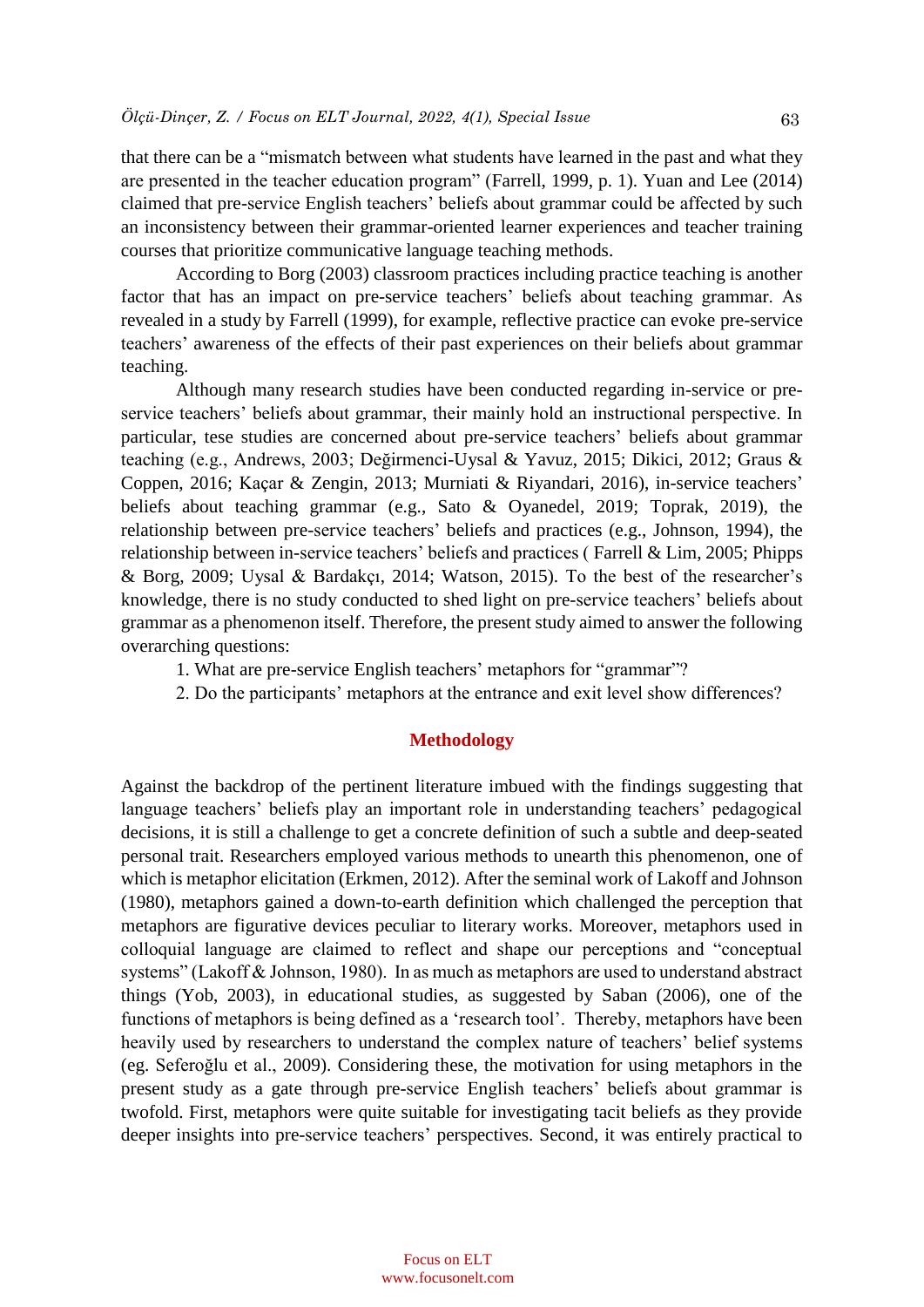that there can be a "mismatch between what students have learned in the past and what they are presented in the teacher education program" (Farrell, 1999, p. 1). Yuan and Lee (2014) claimed that pre-service English teachers' beliefs about grammar could be affected by such an inconsistency between their grammar-oriented learner experiences and teacher training courses that prioritize communicative language teaching methods.

According to Borg (2003) classroom practices including practice teaching is another factor that has an impact on pre-service teachers' beliefs about teaching grammar. As revealed in a study by Farrell (1999), for example, reflective practice can evoke pre-service teachers' awareness of the effects of their past experiences on their beliefs about grammar teaching.

Although many research studies have been conducted regarding in-service or preservice teachers' beliefs about grammar, their mainly hold an instructional perspective. In particular, tese studies are concerned about pre-service teachers' beliefs about grammar teaching (e.g., Andrews, 2003; Değirmenci-Uysal & Yavuz, 2015; Dikici, 2012; Graus & Coppen, 2016; Kaçar & Zengin, 2013; Murniati & Riyandari, 2016), in-service teachers' beliefs about teaching grammar (e.g., Sato & Oyanedel, 2019; Toprak, 2019), the relationship between pre-service teachers' beliefs and practices (e.g., Johnson, 1994), the relationship between in-service teachers' beliefs and practices ( Farrell & Lim, 2005; Phipps & Borg, 2009; Uysal & Bardakçı, 2014; Watson, 2015). To the best of the researcher's knowledge, there is no study conducted to shed light on pre-service teachers' beliefs about grammar as a phenomenon itself. Therefore, the present study aimed to answer the following overarching questions:

- 1. What are pre-service English teachers' metaphors for "grammar"?
- 2. Do the participants' metaphors at the entrance and exit level show differences?

#### **Methodology**

Against the backdrop of the pertinent literature imbued with the findings suggesting that language teachers' beliefs play an important role in understanding teachers' pedagogical decisions, it is still a challenge to get a concrete definition of such a subtle and deep-seated personal trait. Researchers employed various methods to unearth this phenomenon, one of which is metaphor elicitation (Erkmen, 2012). After the seminal work of Lakoff and Johnson (1980), metaphors gained a down-to-earth definition which challenged the perception that metaphors are figurative devices peculiar to literary works. Moreover, metaphors used in colloquial language are claimed to reflect and shape our perceptions and "conceptual systems" (Lakoff & Johnson, 1980). In as much as metaphors are used to understand abstract things (Yob, 2003), in educational studies, as suggested by Saban (2006), one of the functions of metaphors is being defined as a 'research tool'. Thereby, metaphors have been heavily used by researchers to understand the complex nature of teachers' belief systems (eg. Seferoğlu et al., 2009). Considering these, the motivation for using metaphors in the present study as a gate through pre-service English teachers' beliefs about grammar is twofold. First, metaphors were quite suitable for investigating tacit beliefs as they provide deeper insights into pre-service teachers' perspectives. Second, it was entirely practical to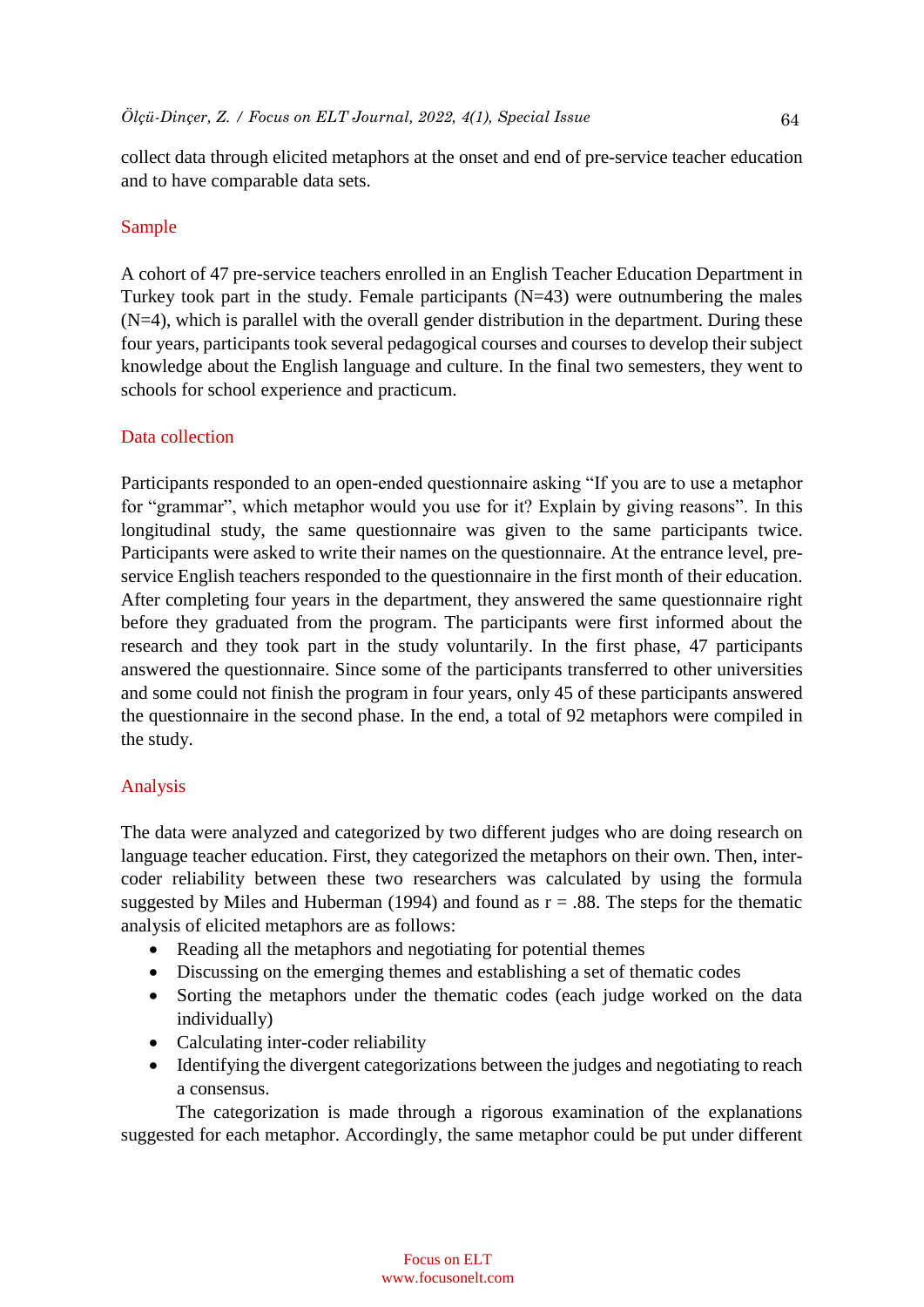collect data through elicited metaphors at the onset and end of pre-service teacher education and to have comparable data sets.

## Sample

A cohort of 47 pre-service teachers enrolled in an English Teacher Education Department in Turkey took part in the study. Female participants  $(N=43)$  were outnumbering the males  $(N=4)$ , which is parallel with the overall gender distribution in the department. During these four years, participants took several pedagogical courses and courses to develop their subject knowledge about the English language and culture. In the final two semesters, they went to schools for school experience and practicum.

## Data collection

Participants responded to an open-ended questionnaire asking "If you are to use a metaphor for "grammar", which metaphor would you use for it? Explain by giving reasons". In this longitudinal study, the same questionnaire was given to the same participants twice. Participants were asked to write their names on the questionnaire. At the entrance level, preservice English teachers responded to the questionnaire in the first month of their education. After completing four years in the department, they answered the same questionnaire right before they graduated from the program. The participants were first informed about the research and they took part in the study voluntarily. In the first phase, 47 participants answered the questionnaire. Since some of the participants transferred to other universities and some could not finish the program in four years, only 45 of these participants answered the questionnaire in the second phase. In the end, a total of 92 metaphors were compiled in the study.

## Analysis

The data were analyzed and categorized by two different judges who are doing research on language teacher education. First, they categorized the metaphors on their own. Then, intercoder reliability between these two researchers was calculated by using the formula suggested by Miles and Huberman (1994) and found as  $r = .88$ . The steps for the thematic analysis of elicited metaphors are as follows:

- Reading all the metaphors and negotiating for potential themes
- Discussing on the emerging themes and establishing a set of thematic codes
- Sorting the metaphors under the thematic codes (each judge worked on the data individually)
- Calculating inter-coder reliability
- Identifying the divergent categorizations between the judges and negotiating to reach a consensus.

The categorization is made through a rigorous examination of the explanations suggested for each metaphor. Accordingly, the same metaphor could be put under different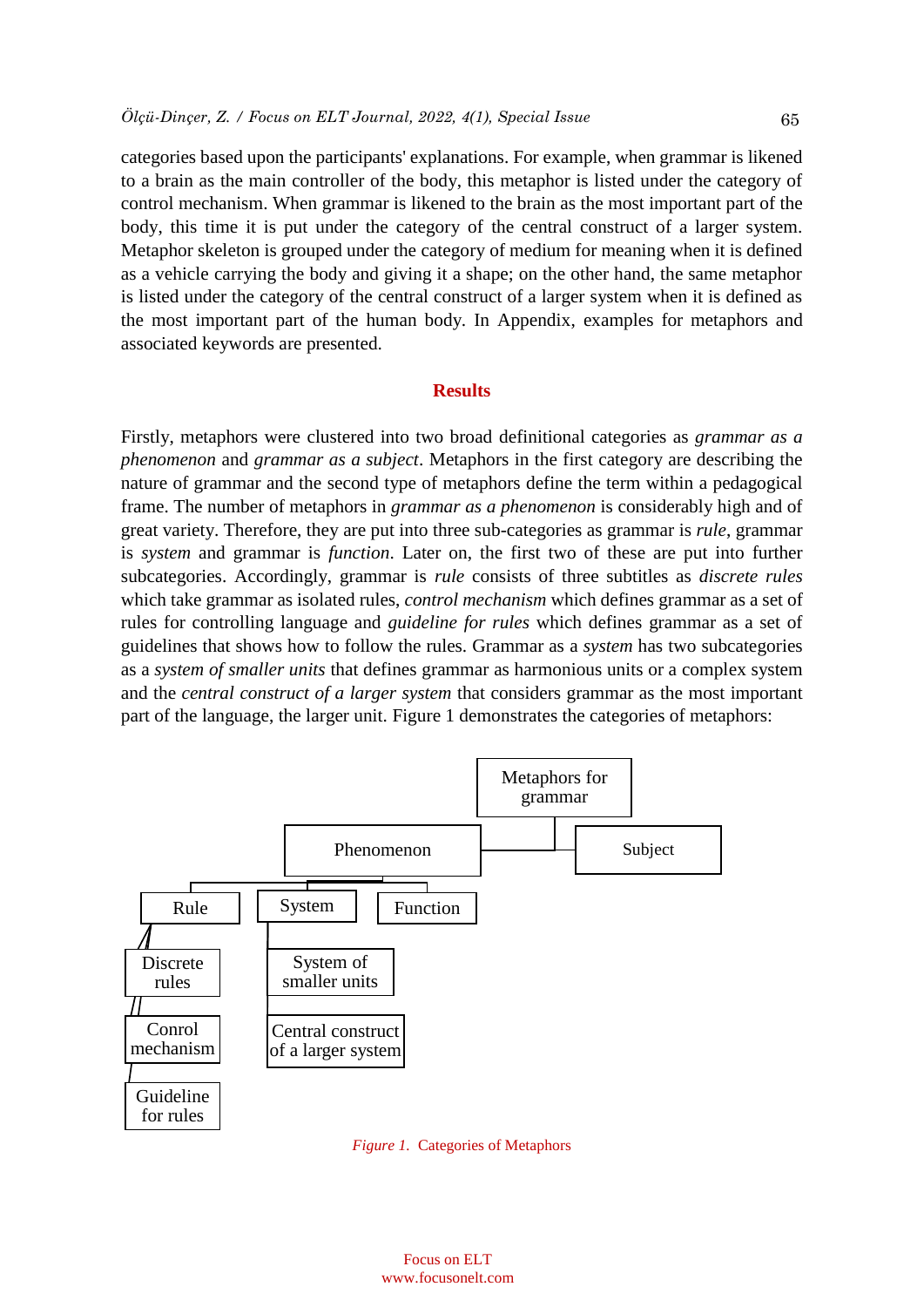categories based upon the participants' explanations. For example, when grammar is likened to a brain as the main controller of the body, this metaphor is listed under the category of control mechanism. When grammar is likened to the brain as the most important part of the body, this time it is put under the category of the central construct of a larger system. Metaphor skeleton is grouped under the category of medium for meaning when it is defined as a vehicle carrying the body and giving it a shape; on the other hand, the same metaphor is listed under the category of the central construct of a larger system when it is defined as the most important part of the human body. In Appendix, examples for metaphors and associated keywords are presented.

#### **Results**

Firstly, metaphors were clustered into two broad definitional categories as *grammar as a phenomenon* and *grammar as a subject*. Metaphors in the first category are describing the nature of grammar and the second type of metaphors define the term within a pedagogical frame. The number of metaphors in *grammar as a phenomenon* is considerably high and of great variety. Therefore, they are put into three sub-categories as grammar is *rule*, grammar is *system* and grammar is *function*. Later on, the first two of these are put into further subcategories. Accordingly, grammar is *rule* consists of three subtitles as *discrete rules* which take grammar as isolated rules, *control mechanism* which defines grammar as a set of rules for controlling language and *guideline for rules* which defines grammar as a set of guidelines that shows how to follow the rules. Grammar as a *system* has two subcategories as a *system of smaller units* that defines grammar as harmonious units or a complex system and the *central construct of a larger system* that considers grammar as the most important part of the language, the larger unit. Figure 1 demonstrates the categories of metaphors:



*Figure 1.* Categories of Metaphors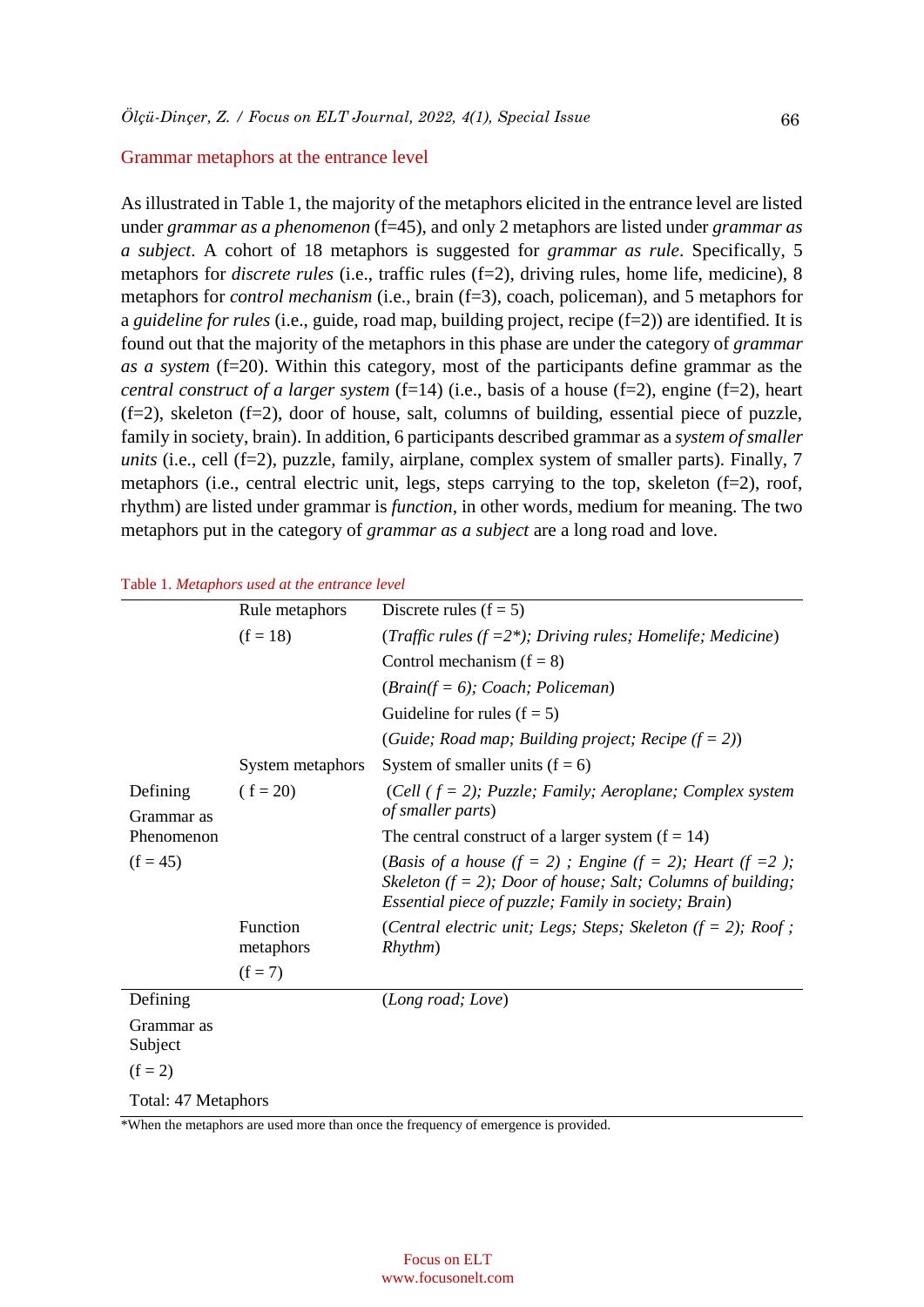#### Grammar metaphors at the entrance level

As illustrated in Table 1, the majority of the metaphors elicited in the entrance level are listed under *grammar as a phenomenon* (f=45), and only 2 metaphors are listed under *grammar as a subject*. A cohort of 18 metaphors is suggested for *grammar as rule*. Specifically, 5 metaphors for *discrete rules* (i.e., traffic rules (f=2), driving rules, home life, medicine), 8 metaphors for *control mechanism* (i.e., brain (f=3), coach, policeman), and 5 metaphors for a *guideline for rules* (i.e., guide, road map, building project, recipe (f=2)) are identified. It is found out that the majority of the metaphors in this phase are under the category of *grammar as a system* (f=20). Within this category, most of the participants define grammar as the *central construct of a larger system* (f=14) (i.e., basis of a house (f=2), engine (f=2), heart (f=2), skeleton (f=2), door of house, salt, columns of building, essential piece of puzzle, family in society, brain). In addition, 6 participants described grammar as a *system of smaller units* (i.e., cell (f=2), puzzle, family, airplane, complex system of smaller parts). Finally, 7 metaphors (i.e., central electric unit, legs, steps carrying to the top, skeleton (f=2), roof, rhythm) are listed under grammar is *function*, in other words, medium for meaning. The two metaphors put in the category of *grammar as a subject* are a long road and love.

|  |  | Table 1. Metaphors used at the entrance level |  |
|--|--|-----------------------------------------------|--|
|  |  |                                               |  |

|                        | Rule metaphors        | Discrete rules $(f = 5)$                                                                                                                                                                    |  |  |  |
|------------------------|-----------------------|---------------------------------------------------------------------------------------------------------------------------------------------------------------------------------------------|--|--|--|
|                        | $(f = 18)$            | (Traffic rules ( $f = 2^*$ ); Driving rules; Homelife; Medicine)                                                                                                                            |  |  |  |
|                        |                       | Control mechanism $(f = 8)$                                                                                                                                                                 |  |  |  |
|                        |                       | $(Brain(f = 6); Coach; Policeman)$                                                                                                                                                          |  |  |  |
|                        |                       | Guideline for rules $(f = 5)$                                                                                                                                                               |  |  |  |
|                        |                       | (Guide; Road map; Building project; Recipe $(f = 2)$ )                                                                                                                                      |  |  |  |
|                        | System metaphors      | System of smaller units $(f = 6)$                                                                                                                                                           |  |  |  |
| Defining<br>Grammar as | $(f = 20)$            | (Cell $(f = 2)$ ; Puzzle; Family; Aeroplane; Complex system<br><i>of smaller parts</i> )                                                                                                    |  |  |  |
| Phenomenon             |                       | The central construct of a larger system $(f = 14)$                                                                                                                                         |  |  |  |
| $(f = 45)$             |                       | (Basis of a house (f = 2); Engine (f = 2); Heart (f = 2);<br>Skeleton ( $f = 2$ ); Door of house; Salt; Columns of building;<br><i>Essential piece of puzzle; Family in society; Brain)</i> |  |  |  |
|                        | Function<br>metaphors | (Central electric unit; Legs; Steps; Skeleton $(f = 2)$ ; Roof;<br>Rhythm)                                                                                                                  |  |  |  |
|                        | $(f = 7)$             |                                                                                                                                                                                             |  |  |  |
| Defining               |                       | (Long road; Love)                                                                                                                                                                           |  |  |  |
| Grammar as<br>Subject  |                       |                                                                                                                                                                                             |  |  |  |
| $(f = 2)$              |                       |                                                                                                                                                                                             |  |  |  |
| Total: 47 Metaphors    |                       |                                                                                                                                                                                             |  |  |  |

\*When the metaphors are used more than once the frequency of emergence is provided.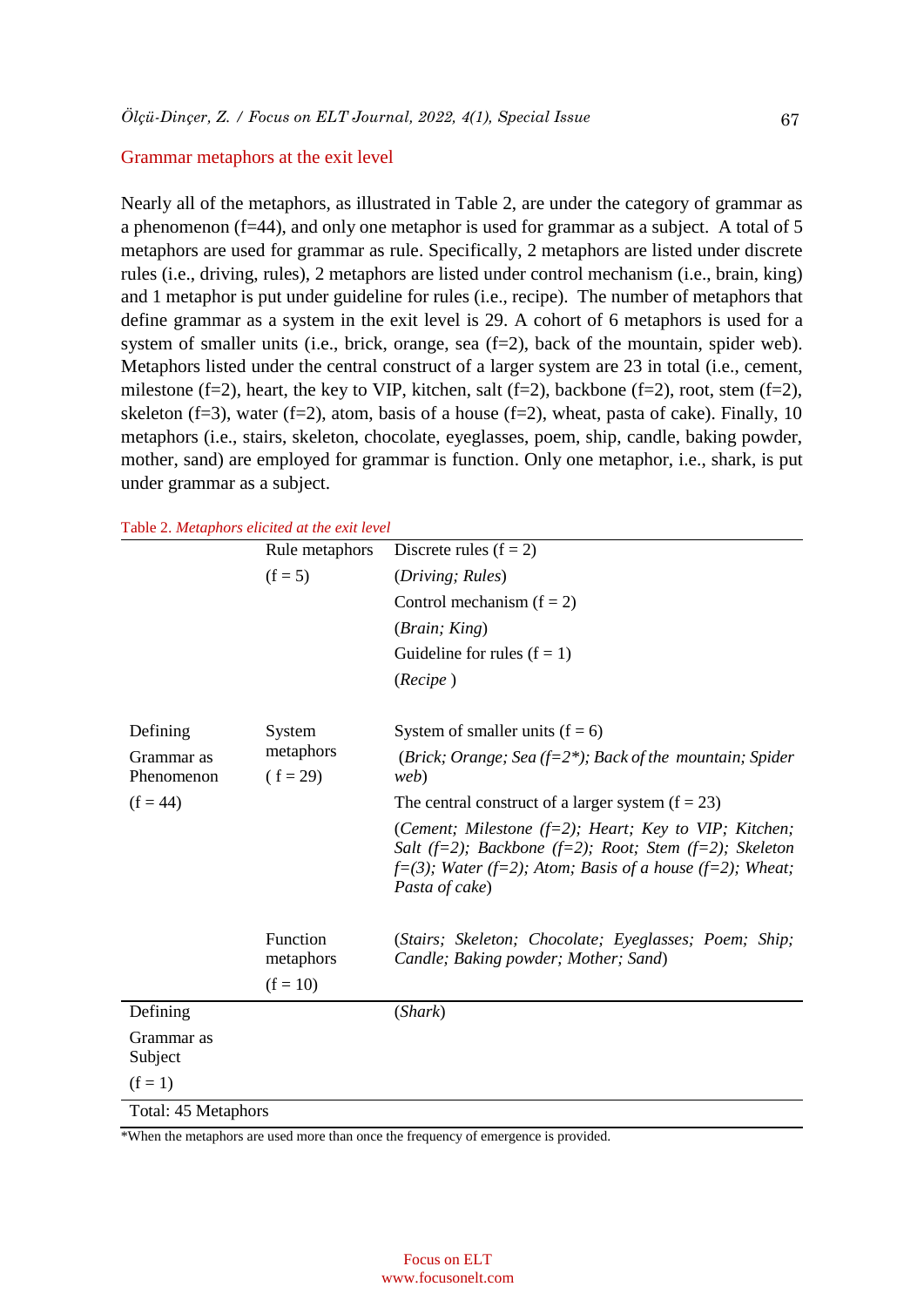#### Grammar metaphors at the exit level

Nearly all of the metaphors, as illustrated in Table 2, are under the category of grammar as a phenomenon ( $f=44$ ), and only one metaphor is used for grammar as a subject. A total of 5 metaphors are used for grammar as rule. Specifically, 2 metaphors are listed under discrete rules (i.e., driving, rules), 2 metaphors are listed under control mechanism (i.e., brain, king) and 1 metaphor is put under guideline for rules (i.e., recipe). The number of metaphors that define grammar as a system in the exit level is 29. A cohort of 6 metaphors is used for a system of smaller units (i.e., brick, orange, sea (f=2), back of the mountain, spider web). Metaphors listed under the central construct of a larger system are 23 in total (i.e., cement, milestone (f=2), heart, the key to VIP, kitchen, salt (f=2), backbone (f=2), root, stem (f=2), skeleton (f=3), water (f=2), atom, basis of a house (f=2), wheat, pasta of cake). Finally, 10 metaphors (i.e., stairs, skeleton, chocolate, eyeglasses, poem, ship, candle, baking powder, mother, sand) are employed for grammar is function. Only one metaphor, i.e., shark, is put under grammar as a subject.

|                                        | Rule metaphors                      | Discrete rules $(f = 2)$                                                                                                                                                                                     |  |  |
|----------------------------------------|-------------------------------------|--------------------------------------------------------------------------------------------------------------------------------------------------------------------------------------------------------------|--|--|
|                                        | $(f = 5)$                           | (Driving; Rules)                                                                                                                                                                                             |  |  |
|                                        |                                     | Control mechanism $(f = 2)$                                                                                                                                                                                  |  |  |
|                                        |                                     | (Brain; King)                                                                                                                                                                                                |  |  |
|                                        |                                     | Guideline for rules $(f = 1)$                                                                                                                                                                                |  |  |
|                                        |                                     | (Recipe)                                                                                                                                                                                                     |  |  |
| Defining                               | System<br>metaphors<br>$(f = 29)$   | System of smaller units $(f = 6)$                                                                                                                                                                            |  |  |
| Grammar as<br>Phenomenon<br>$(f = 44)$ |                                     | (Brick; Orange; Sea (f= $2^*$ ); Back of the mountain; Spider<br>web)                                                                                                                                        |  |  |
|                                        |                                     | The central construct of a larger system $(f = 23)$                                                                                                                                                          |  |  |
|                                        |                                     | (Cement; Milestone $(f=2)$ ; Heart; Key to VIP; Kitchen;<br>Salt $(f=2)$ ; Backbone $(f=2)$ ; Root; Stem $(f=2)$ ; Skeleton<br>$f=(3)$ ; Water (f=2); Atom; Basis of a house (f=2); Wheat;<br>Pasta of cake) |  |  |
|                                        | Function<br>metaphors<br>$(f = 10)$ | (Stairs; Skeleton; Chocolate; Eyeglasses; Poem; Ship;<br>Candle; Baking powder; Mother; Sand)                                                                                                                |  |  |
| Defining                               |                                     | (Shark)                                                                                                                                                                                                      |  |  |
| Grammar as<br>Subject                  |                                     |                                                                                                                                                                                                              |  |  |
| $(f = 1)$                              |                                     |                                                                                                                                                                                                              |  |  |
| Total: 45 Metaphors                    |                                     |                                                                                                                                                                                                              |  |  |

Table 2. *Metaphors elicited at the exit level* 

\*When the metaphors are used more than once the frequency of emergence is provided.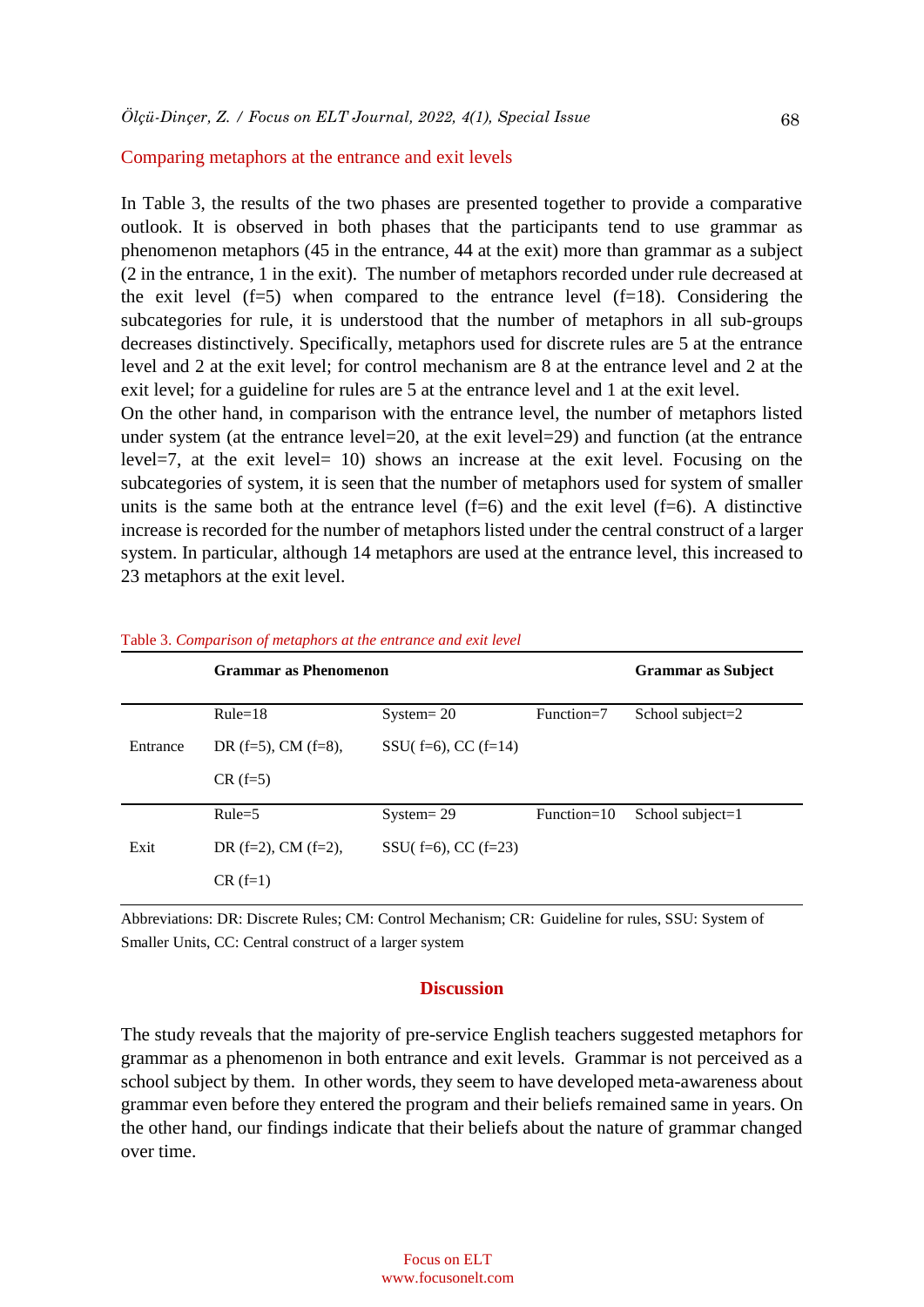#### Comparing metaphors at the entrance and exit levels

In Table 3, the results of the two phases are presented together to provide a comparative outlook. It is observed in both phases that the participants tend to use grammar as phenomenon metaphors (45 in the entrance, 44 at the exit) more than grammar as a subject (2 in the entrance, 1 in the exit). The number of metaphors recorded under rule decreased at the exit level  $(f=5)$  when compared to the entrance level  $(f=18)$ . Considering the subcategories for rule, it is understood that the number of metaphors in all sub-groups decreases distinctively. Specifically, metaphors used for discrete rules are 5 at the entrance level and 2 at the exit level; for control mechanism are 8 at the entrance level and 2 at the exit level; for a guideline for rules are 5 at the entrance level and 1 at the exit level.

On the other hand, in comparison with the entrance level, the number of metaphors listed under system (at the entrance level=20, at the exit level=29) and function (at the entrance level=7, at the exit level= 10) shows an increase at the exit level. Focusing on the subcategories of system, it is seen that the number of metaphors used for system of smaller units is the same both at the entrance level  $(f=6)$  and the exit level  $(f=6)$ . A distinctive increase is recorded for the number of metaphors listed under the central construct of a larger system. In particular, although 14 metaphors are used at the entrance level, this increased to 23 metaphors at the exit level.

|          | <b>Grammar as Phenomenon</b> | <b>Grammar as Subject</b>   |               |                     |
|----------|------------------------------|-----------------------------|---------------|---------------------|
|          | $Rule=18$                    | $System = 20$               | $Function=7$  | School subject= $2$ |
| Entrance | DR $(f=5)$ , CM $(f=8)$ ,    | SSU( $f=6$ ), CC ( $f=14$ ) |               |                     |
|          | $CR$ (f=5)                   |                             |               |                     |
|          | $Rule=5$                     | $System = 29$               | $Function=10$ | School subject= $1$ |
| Exit     | DR $(f=2)$ , CM $(f=2)$ ,    | SSU( $f=6$ ), CC ( $f=23$ ) |               |                     |
|          | $CR$ (f=1)                   |                             |               |                     |

Table 3. *Comparison of metaphors at the entrance and exit level*

Abbreviations: DR: Discrete Rules; CM: Control Mechanism; CR: Guideline for rules, SSU: System of Smaller Units, CC: Central construct of a larger system

#### **Discussion**

The study reveals that the majority of pre-service English teachers suggested metaphors for grammar as a phenomenon in both entrance and exit levels. Grammar is not perceived as a school subject by them. In other words, they seem to have developed meta-awareness about grammar even before they entered the program and their beliefs remained same in years. On the other hand, our findings indicate that their beliefs about the nature of grammar changed over time.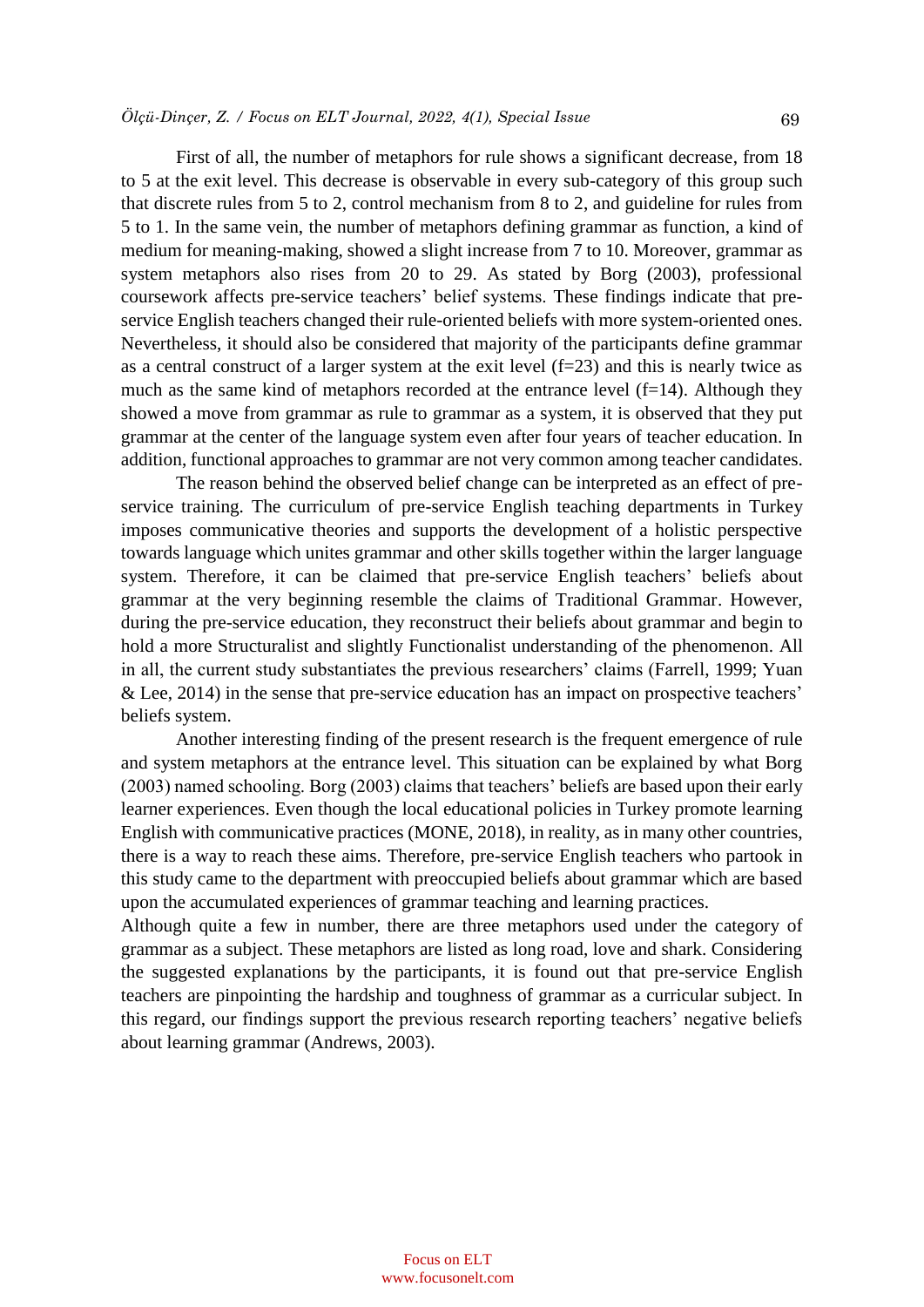First of all, the number of metaphors for rule shows a significant decrease, from 18 to 5 at the exit level. This decrease is observable in every sub-category of this group such that discrete rules from 5 to 2, control mechanism from 8 to 2, and guideline for rules from 5 to 1. In the same vein, the number of metaphors defining grammar as function, a kind of medium for meaning-making, showed a slight increase from 7 to 10. Moreover, grammar as system metaphors also rises from 20 to 29. As stated by Borg (2003), professional coursework affects pre-service teachers' belief systems. These findings indicate that preservice English teachers changed their rule-oriented beliefs with more system-oriented ones. Nevertheless, it should also be considered that majority of the participants define grammar as a central construct of a larger system at the exit level  $(f=23)$  and this is nearly twice as much as the same kind of metaphors recorded at the entrance level  $(f=14)$ . Although they showed a move from grammar as rule to grammar as a system, it is observed that they put grammar at the center of the language system even after four years of teacher education. In addition, functional approaches to grammar are not very common among teacher candidates.

The reason behind the observed belief change can be interpreted as an effect of preservice training. The curriculum of pre-service English teaching departments in Turkey imposes communicative theories and supports the development of a holistic perspective towards language which unites grammar and other skills together within the larger language system. Therefore, it can be claimed that pre-service English teachers' beliefs about grammar at the very beginning resemble the claims of Traditional Grammar. However, during the pre-service education, they reconstruct their beliefs about grammar and begin to hold a more Structuralist and slightly Functionalist understanding of the phenomenon. All in all, the current study substantiates the previous researchers' claims (Farrell, 1999; Yuan & Lee, 2014) in the sense that pre-service education has an impact on prospective teachers' beliefs system.

Another interesting finding of the present research is the frequent emergence of rule and system metaphors at the entrance level. This situation can be explained by what Borg (2003) named schooling. Borg (2003) claims that teachers' beliefs are based upon their early learner experiences. Even though the local educational policies in Turkey promote learning English with communicative practices (MONE, 2018), in reality, as in many other countries, there is a way to reach these aims. Therefore, pre-service English teachers who partook in this study came to the department with preoccupied beliefs about grammar which are based upon the accumulated experiences of grammar teaching and learning practices.

Although quite a few in number, there are three metaphors used under the category of grammar as a subject. These metaphors are listed as long road, love and shark. Considering the suggested explanations by the participants, it is found out that pre-service English teachers are pinpointing the hardship and toughness of grammar as a curricular subject. In this regard, our findings support the previous research reporting teachers' negative beliefs about learning grammar (Andrews, 2003).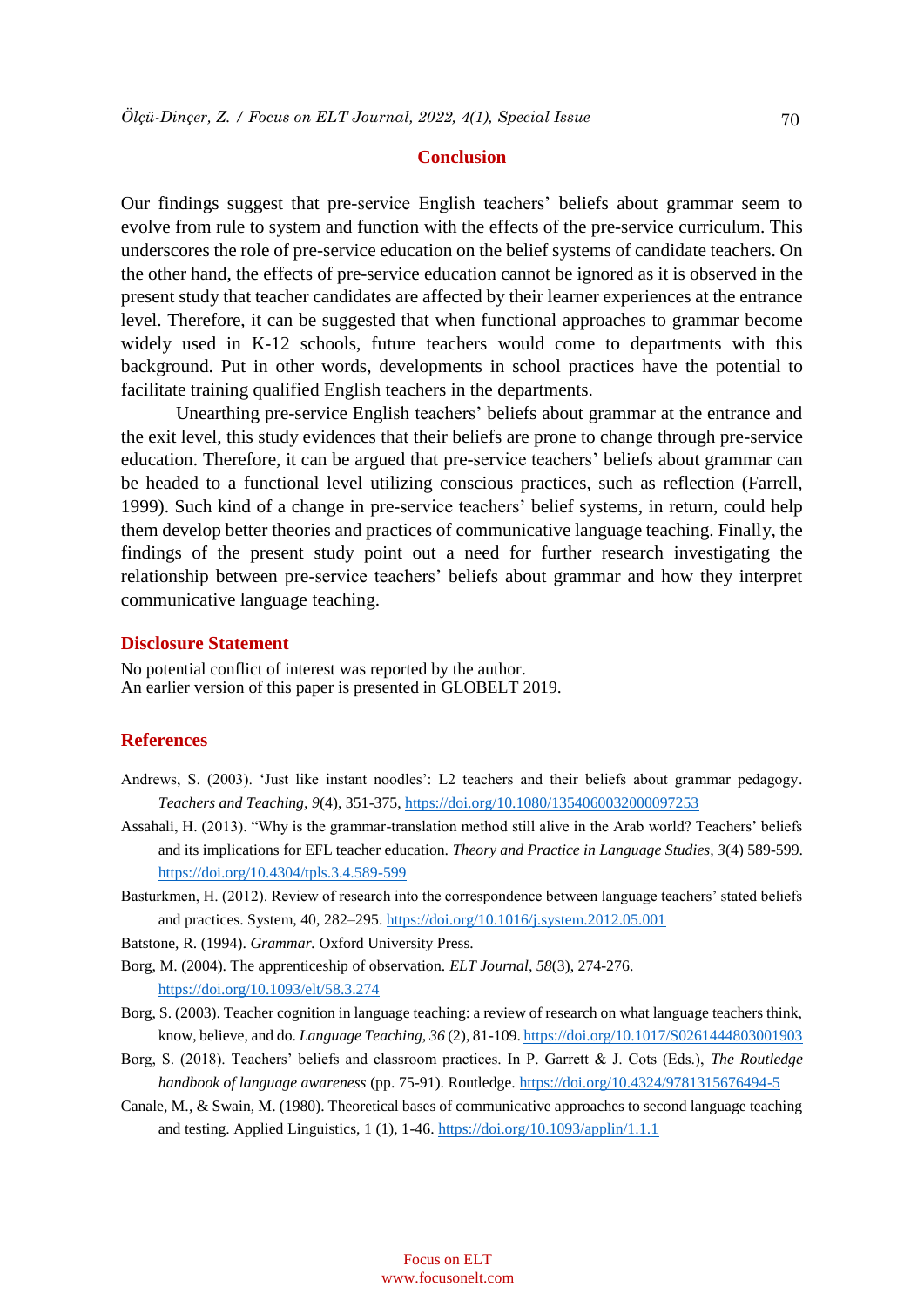#### **Conclusion**

Our findings suggest that pre-service English teachers' beliefs about grammar seem to evolve from rule to system and function with the effects of the pre-service curriculum. This underscores the role of pre-service education on the belief systems of candidate teachers. On the other hand, the effects of pre-service education cannot be ignored as it is observed in the present study that teacher candidates are affected by their learner experiences at the entrance level. Therefore, it can be suggested that when functional approaches to grammar become widely used in K-12 schools, future teachers would come to departments with this background. Put in other words, developments in school practices have the potential to facilitate training qualified English teachers in the departments.

Unearthing pre-service English teachers' beliefs about grammar at the entrance and the exit level, this study evidences that their beliefs are prone to change through pre-service education. Therefore, it can be argued that pre-service teachers' beliefs about grammar can be headed to a functional level utilizing conscious practices, such as reflection (Farrell, 1999). Such kind of a change in pre-service teachers' belief systems, in return, could help them develop better theories and practices of communicative language teaching. Finally, the findings of the present study point out a need for further research investigating the relationship between pre-service teachers' beliefs about grammar and how they interpret communicative language teaching.

## **Disclosure Statement**

No potential conflict of interest was reported by the author. An earlier version of this paper is presented in GLOBELT 2019.

#### **References**

- Andrews, S. (2003). 'Just like instant noodles': L2 teachers and their beliefs about grammar pedagogy. *Teachers and Teaching, 9*(4), 351-375,<https://doi.org/10.1080/1354060032000097253>
- Assahali, H. (2013). "Why is the grammar-translation method still alive in the Arab world? Teachers' beliefs and its implications for EFL teacher education. *Theory and Practice in Language Studies, 3*(4) 589-599. <https://doi.org/10.4304/tpls.3.4.589-599>
- Basturkmen, H. (2012). Review of research into the correspondence between language teachers' stated beliefs and practices. System, 40, 282–295.<https://doi.org/10.1016/j.system.2012.05.001>
- Batstone, R. (1994). *Grammar.* Oxford University Press.
- Borg, M. (2004). The apprenticeship of observation. *ELT Journal, 58*(3), 274-276. <https://doi.org/10.1093/elt/58.3.274>
- Borg, S. (2003). Teacher cognition in language teaching: a review of research on what language teachers think, know, believe, and do. *Language Teaching, 36* (2), 81-109[. https://doi.org/10.1017/S0261444803001903](https://doi.org/10.1017/S0261444803001903)
- Borg, S. (2018). Teachers' beliefs and classroom practices. In P. Garrett & J. Cots (Eds.), *The Routledge handbook of language awareness* (pp. 75-91). Routledge. <https://doi.org/10.4324/9781315676494-5>
- Canale, M., & Swain, M. (1980). Theoretical bases of communicative approaches to second language teaching and testing. Applied Linguistics, 1 (1), 1-46. <https://doi.org/10.1093/applin/1.1.1>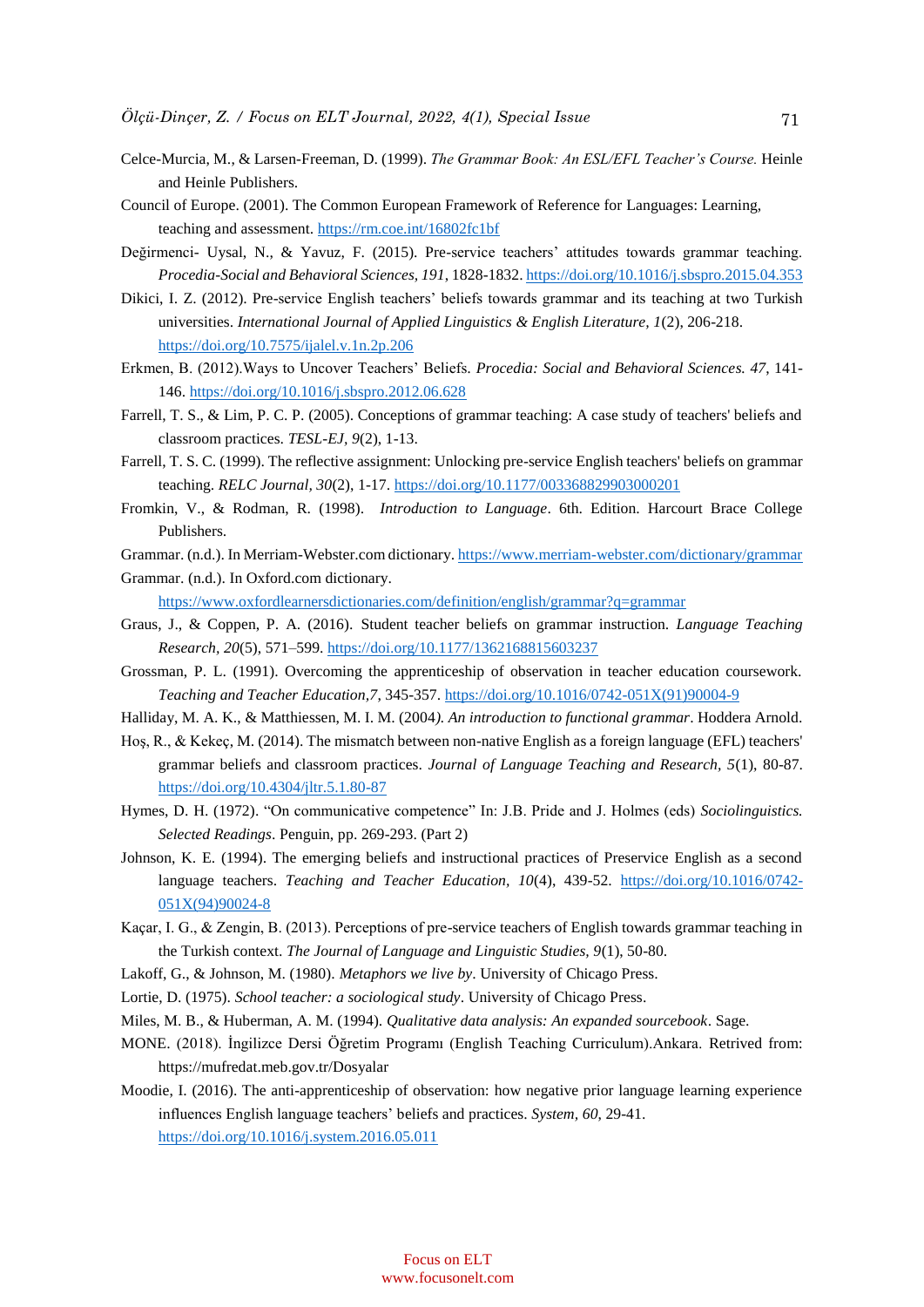- Celce-Murcia, M., & Larsen-Freeman, D. (1999). *The Grammar Book: An ESL/EFL Teacher's Course.* Heinle and Heinle Publishers.
- Council of Europe. (2001). The Common European Framework of Reference for Languages: Learning, teaching and assessment.<https://rm.coe.int/16802fc1bf>
- Değirmenci- Uysal, N., & Yavuz, F. (2015). Pre-service teachers' attitudes towards grammar teaching. *Procedia-Social and Behavioral Sciences, 191*, 1828-1832. <https://doi.org/10.1016/j.sbspro.2015.04.353>
- Dikici, I. Z. (2012). Pre-service English teachers' beliefs towards grammar and its teaching at two Turkish universities. *International Journal of Applied Linguistics & English Literature, 1*(2), 206-218. <https://doi.org/10.7575/ijalel.v.1n.2p.206>
- Erkmen, B. (2012).Ways to Uncover Teachers' Beliefs*. Procedia: Social and Behavioral Sciences. 47*, 141- 146.<https://doi.org/10.1016/j.sbspro.2012.06.628>
- Farrell, T. S., & Lim, P. C. P. (2005). Conceptions of grammar teaching: A case study of teachers' beliefs and classroom practices. *TESL-EJ, 9*(2), 1-13.
- Farrell, T. S. C. (1999). The reflective assignment: Unlocking pre-service English teachers' beliefs on grammar teaching. *RELC Journal, 30*(2), 1-17.<https://doi.org/10.1177/003368829903000201>
- Fromkin, V., & Rodman, R. (1998). *Introduction to Language*. 6th. Edition. Harcourt Brace College Publishers.
- Grammar. (n.d.). In Merriam-Webster.com dictionary[. https://www.merriam-webster.com/dictionary/grammar](https://www.merriam-webster.com/dictionary/grammar)
- Grammar. (n.d.). In Oxford.com dictionary. <https://www.oxfordlearnersdictionaries.com/definition/english/grammar?q=grammar>
- Graus, J., & Coppen, P. A. (2016). Student teacher beliefs on grammar instruction. *Language Teaching Research, 20*(5), 571–599.<https://doi.org/10.1177/1362168815603237>
- Grossman, P. L. (1991). Overcoming the apprenticeship of observation in teacher education coursework. *Teaching and Teacher Education,7*, 345-357[. https://doi.org/10.1016/0742-051X\(91\)90004-9](https://doi.org/10.1016/0742-051X(91)90004-9)
- Halliday, M. A. K., & Matthiessen, M. I. M. (2004*). An introduction to functional grammar*. Hoddera Arnold.
- Hoş, R., & Kekeç, M. (2014). The mismatch between non-native English as a foreign language (EFL) teachers' grammar beliefs and classroom practices. *Journal of Language Teaching and Research, 5*(1), 80-87. <https://doi.org/10.4304/jltr.5.1.80-87>
- Hymes, D. H. (1972). "On communicative competence" In: J.B. Pride and J. Holmes (eds) *Sociolinguistics. Selected Readings*. Penguin, pp. 269-293. (Part 2)
- Johnson, K. E. (1994). The emerging beliefs and instructional practices of Preservice English as a second language teachers. *Teaching and Teacher Education, 10*(4), 439-52. [https://doi.org/10.1016/0742-](https://doi.org/10.1016/0742-051X(94)90024-8) [051X\(94\)90024-8](https://doi.org/10.1016/0742-051X(94)90024-8)
- Kaçar, I. G., & Zengin, B. (2013). Perceptions of pre-service teachers of English towards grammar teaching in the Turkish context. *The Journal of Language and Linguistic Studies, 9*(1), 50-80.
- Lakoff, G., & Johnson, M. (1980). *Metaphors we live by*. University of Chicago Press.
- Lortie, D. (1975). *School teacher: a sociological study*. University of Chicago Press.
- Miles, M. B., & Huberman, A. M. (1994). *Qualitative data analysis: An expanded sourcebook*. Sage.
- MONE. (2018). İngilizce Dersi Öğretim Programı (English Teaching Curriculum).Ankara. Retrived from: https://mufredat.meb.gov.tr/Dosyalar
- Moodie, I. (2016). The anti-apprenticeship of observation: how negative prior language learning experience influences English language teachers' beliefs and practices. *System, 60*, 29-41. <https://doi.org/10.1016/j.system.2016.05.011>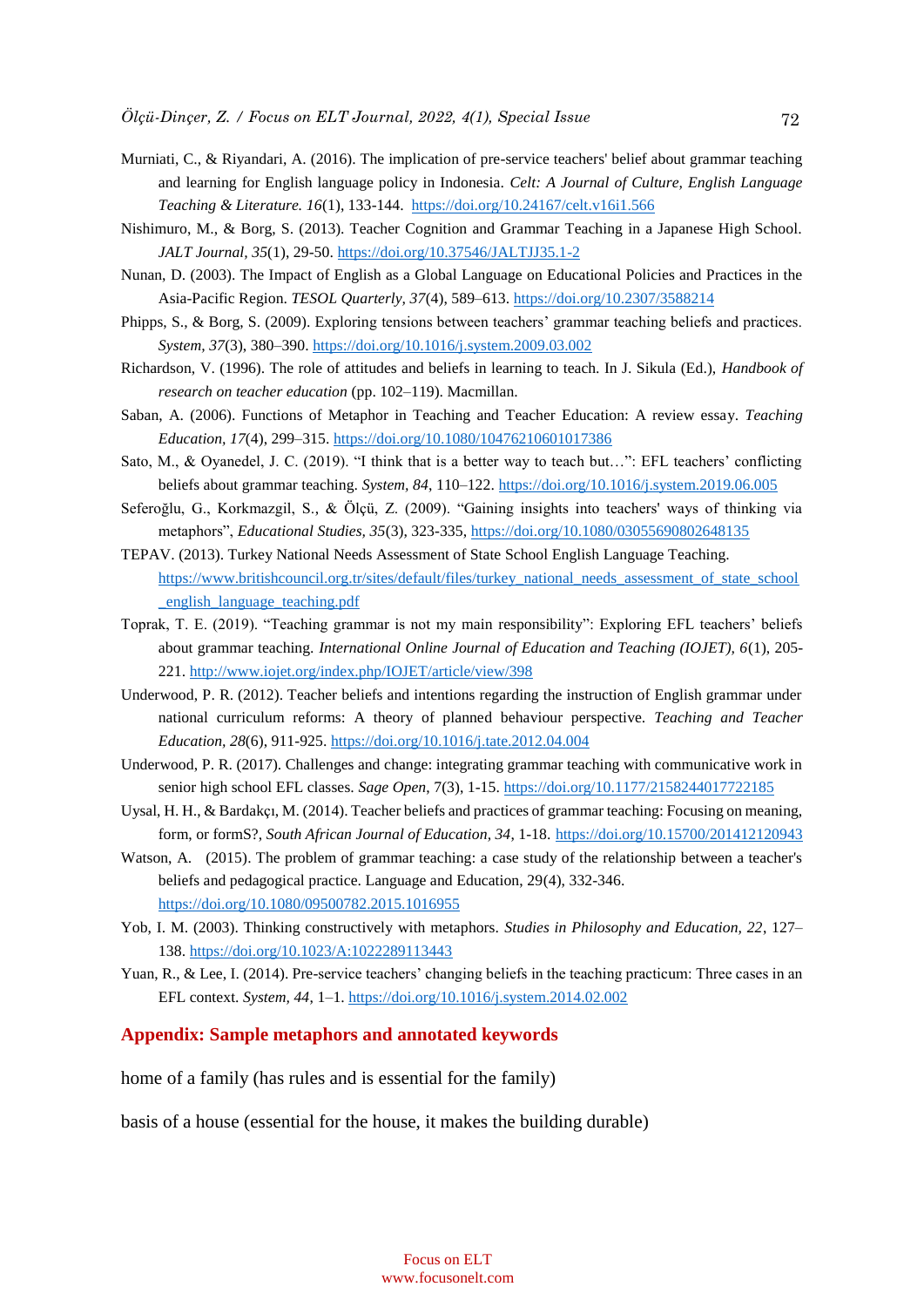- Murniati, C., & Riyandari, A. (2016). The implication of pre-service teachers' belief about grammar teaching and learning for English language policy in Indonesia. *Celt: A Journal of Culture, English Language Teaching & Literature. 16*(1), 133-144. <https://doi.org/10.24167/celt.v16i1.566>
- Nishimuro, M., & Borg, S. (2013). Teacher Cognition and Grammar Teaching in a Japanese High School. *JALT Journal, 35*(1), 29-50[. https://doi.org/10.37546/JALTJJ35.1-2](https://doi.org/10.37546/JALTJJ35.1-2)
- Nunan, D. (2003). The Impact of English as a Global Language on Educational Policies and Practices in the Asia-Pacific Region. *TESOL Quarterly, 37*(4), 589–613.<https://doi.org/10.2307/3588214>
- Phipps, S., & Borg, S. (2009). Exploring tensions between teachers' grammar teaching beliefs and practices. *System, 37*(3), 380–390[. https://doi.org/10.1016/j.system.2009.03.002](https://doi.org/10.1016/j.system.2009.03.002)
- Richardson, V. (1996). The role of attitudes and beliefs in learning to teach. In J. Sikula (Ed.), *Handbook of research on teacher education* (pp. 102–119). Macmillan.
- Saban, A. (2006). Functions of Metaphor in Teaching and Teacher Education: A review essay. *Teaching Education, 17*(4), 299–315.<https://doi.org/10.1080/10476210601017386>
- Sato, M., & Oyanedel, J. C. (2019). "I think that is a better way to teach but…": EFL teachers' conflicting beliefs about grammar teaching. *System, 84*, 110–122.<https://doi.org/10.1016/j.system.2019.06.005>
- Seferoğlu, G., Korkmazgil, S., & Ölçü, Z. (2009). "Gaining insights into teachers' ways of thinking via metaphors", *Educational Studies, 35*(3), 323-335[, https://doi.org/10.1080/03055690802648135](https://doi.org/10.1080/03055690802648135)
- TEPAV. (2013). Turkey National Needs Assessment of State School English Language Teaching. [https://www.britishcouncil.org.tr/sites/default/files/turkey\\_national\\_needs\\_assessment\\_of\\_state\\_school](https://www.britishcouncil.org.tr/sites/default/files/turkey_national_needs_assessment_of_state_school_english_language_teaching.pdf) [\\_english\\_language\\_teaching.pdf](https://www.britishcouncil.org.tr/sites/default/files/turkey_national_needs_assessment_of_state_school_english_language_teaching.pdf)
- Toprak, T. E. (2019). "Teaching grammar is not my main responsibility": Exploring EFL teachers' beliefs about grammar teaching. *International Online Journal of Education and Teaching (IOJET), 6*(1), 205- 221.<http://www.iojet.org/index.php/IOJET/article/view/398>
- Underwood, P. R. (2012). Teacher beliefs and intentions regarding the instruction of English grammar under national curriculum reforms: A theory of planned behaviour perspective. *Teaching and Teacher Education, 28*(6), 911-925.<https://doi.org/10.1016/j.tate.2012.04.004>
- Underwood, P. R. (2017). Challenges and change: integrating grammar teaching with communicative work in senior high school EFL classes. *Sage Open*, 7(3), 1-15[. https://doi.org/10.1177/2158244017722185](https://doi.org/10.1177/2158244017722185)
- Uysal, H. H., & Bardakçı, M. (2014). Teacher beliefs and practices of grammar teaching: Focusing on meaning, form, or formS?, *South African Journal of Education, 34*, 1-18. <https://doi.org/10.15700/201412120943>
- Watson, A. (2015). The problem of grammar teaching: a case study of the relationship between a teacher's beliefs and pedagogical practice. Language and Education, 29(4), 332-346. <https://doi.org/10.1080/09500782.2015.1016955>
- Yob, I. M. (2003). Thinking constructively with metaphors. *Studies in Philosophy and Education, 22*, 127– 138. <https://doi.org/10.1023/A:1022289113443>
- Yuan, R., & Lee, I. (2014). Pre-service teachers' changing beliefs in the teaching practicum: Three cases in an EFL context. *System, 44*, 1–1[. https://doi.org/10.1016/j.system.2014.02.002](https://doi.org/10.1016/j.system.2014.02.002)

#### **Appendix: Sample metaphors and annotated keywords**

home of a family (has rules and is essential for the family)

basis of a house (essential for the house, it makes the building durable)